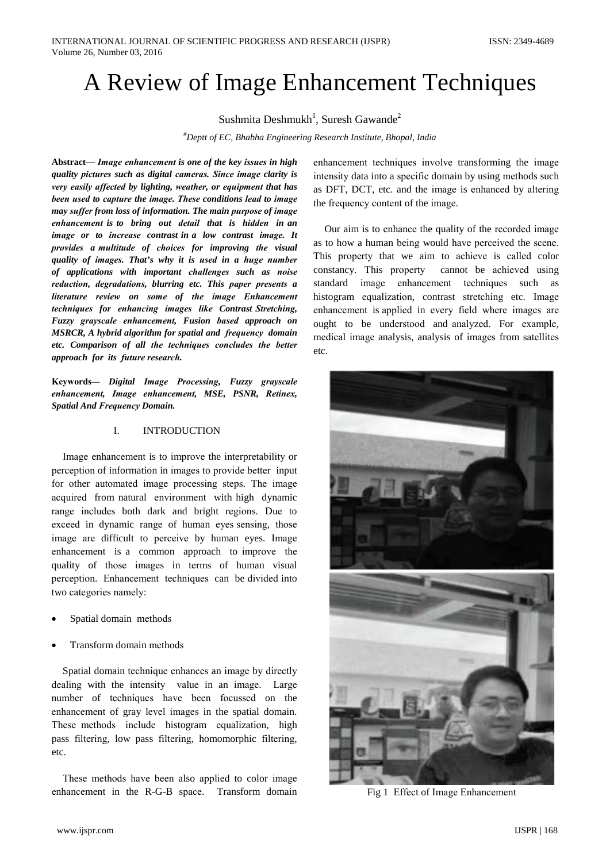# A Review of Image Enhancement Techniques

Sushmita Deshmukh<sup>1</sup>, Suresh Gawande<sup>2</sup>

<sup>#</sup>Deptt of EC, Bhabha Engineering Research Institute, Bhopal, India

Abstract— Image enhancement is one of the key issues in high quality pictures such as digital cameras. Since image clarity is very easily affected by lighting, weather, or equipment that has been used to capture the image. These conditions lead to image may suffer from loss of information. The main purpose of image enhancement is to bring out detail that is hidden in an image or to increase contrast in a low contrast image. It provides a multitude of choices for improving the visual quality of images. That's why it is used in a huge number of applications with important challenges such as noise reduction, degradations, blurring etc. This paper presents a literature review on some of the image Enhancement techniques for enhancing images like Contrast Stretching, Fuzzy grayscale enhancement, Fusion based approach on MSRCR, A hybrid algorithm for spatial and frequency domain etc. Comparison of all the techniques concludes the better approach for its future research.

Keywords- Digital Image Processing, Fuzzy grayscale enhancement, Image enhancement, MSE, PSNR, Retinex, **Spatial And Frequency Domain.** 

#### L. **INTRODUCTION**

Image enhancement is to improve the interpretability or perception of information in images to provide better input for other automated image processing steps. The image acquired from natural environment with high dynamic range includes both dark and bright regions. Due to exceed in dynamic range of human eyes sensing, those image are difficult to perceive by human eyes. Image enhancement is a common approach to improve the quality of those images in terms of human visual perception. Enhancement techniques can be divided into two categories namely:

- Spatial domain methods
- Transform domain methods

Spatial domain technique enhances an image by directly dealing with the intensity value in an image. Large number of techniques have been focussed on the enhancement of gray level images in the spatial domain. These methods include histogram equalization, high pass filtering, low pass filtering, homomorphic filtering, etc.

These methods have been also applied to color image enhancement in the R-G-B space. Transform domain enhancement techniques involve transforming the image intensity data into a specific domain by using methods such as DFT, DCT, etc. and the image is enhanced by altering the frequency content of the image.

Our aim is to enhance the quality of the recorded image as to how a human being would have perceived the scene. This property that we aim to achieve is called color constancy. This property cannot be achieved using standard image enhancement techniques such as histogram equalization, contrast stretching etc. Image enhancement is applied in every field where images are ought to be understood and analyzed. For example, medical image analysis, analysis of images from satellites etc.



Fig 1 Effect of Image Enhancement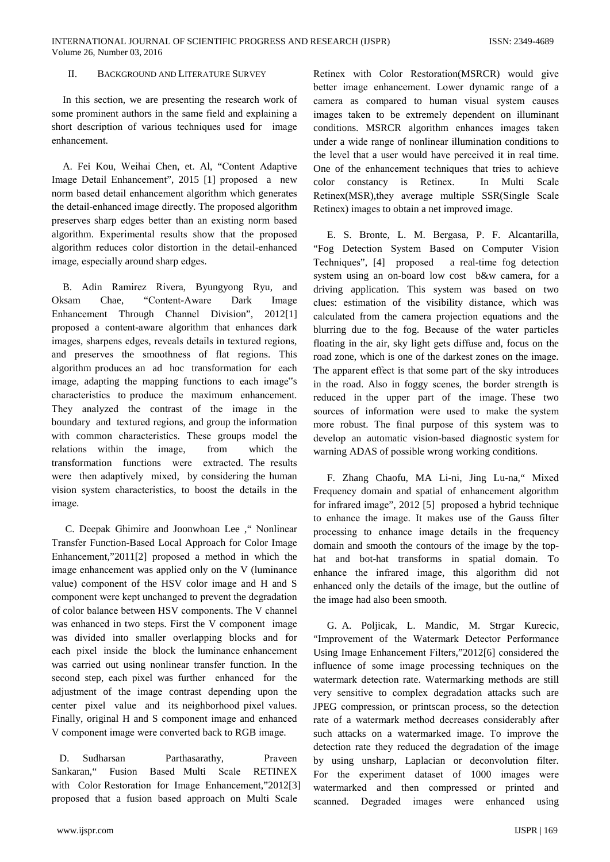#### $\Pi$ **BACKGROUND AND LITERATURE SURVEY**

In this section, we are presenting the research work of some prominent authors in the same field and explaining a short description of various techniques used for image enhancement.

A. Fei Kou, Weihai Chen, et. Al, "Content Adaptive Image Detail Enhancement", 2015 [1] proposed a new norm based detail enhancement algorithm which generates the detail-enhanced image directly. The proposed algorithm preserves sharp edges better than an existing norm based algorithm. Experimental results show that the proposed algorithm reduces color distortion in the detail-enhanced image, especially around sharp edges.

B. Adin Ramirez Rivera, Byungyong Ryu, and Oksam Chae. "Content-Aware" Dark Image Enhancement Through Channel Division".  $2012[1]$ proposed a content-aware algorithm that enhances dark images, sharpens edges, reveals details in textured regions, and preserves the smoothness of flat regions. This algorithm produces an ad hoc transformation for each image, adapting the mapping functions to each image"s characteristics to produce the maximum enhancement. They analyzed the contrast of the image in the boundary and textured regions, and group the information with common characteristics. These groups model the which the relations within the image, from transformation functions were extracted. The results were then adaptively mixed, by considering the human vision system characteristics, to boost the details in the image.

C. Deepak Ghimire and Joonwhoan Lee ," Nonlinear Transfer Function-Based Local Approach for Color Image Enhancement,"2011[2] proposed a method in which the image enhancement was applied only on the V (luminance value) component of the HSV color image and H and S component were kept unchanged to prevent the degradation of color balance between HSV components. The V channel was enhanced in two steps. First the V component image was divided into smaller overlapping blocks and for each pixel inside the block the luminance enhancement was carried out using nonlinear transfer function. In the second step, each pixel was further enhanced for the adjustment of the image contrast depending upon the center pixel value and its neighborhood pixel values. Finally, original H and S component image and enhanced V component image were converted back to RGB image.

 $D$ Sudharsan Parthasarathy, Praveen Sankaran," Fusion Based Multi Scale RETINEX with Color Restoration for Image Enhancement,"2012[3] proposed that a fusion based approach on Multi Scale

Retinex with Color Restoration (MSRCR) would give better image enhancement. Lower dynamic range of a camera as compared to human visual system causes images taken to be extremely dependent on illuminant conditions. MSRCR algorithm enhances images taken under a wide range of nonlinear illumination conditions to the level that a user would have perceived it in real time. One of the enhancement techniques that tries to achieve color constancy is Retinex. In Multi Scale Retinex(MSR), they average multiple SSR(Single Scale Retinex) images to obtain a net improved image.

E. S. Bronte, L. M. Bergasa, P. F. Alcantarilla, "Fog Detection System Based on Computer Vision Techniques", [4] proposed a real-time fog detection system using an on-board low cost b&w camera, for a driving application. This system was based on two clues: estimation of the visibility distance, which was calculated from the camera projection equations and the blurring due to the fog. Because of the water particles floating in the air, sky light gets diffuse and, focus on the road zone, which is one of the darkest zones on the image. The apparent effect is that some part of the sky introduces in the road. Also in foggy scenes, the border strength is reduced in the upper part of the image. These two sources of information were used to make the system more robust. The final purpose of this system was to develop an automatic vision-based diagnostic system for warning ADAS of possible wrong working conditions.

F. Zhang Chaofu, MA Li-ni, Jing Lu-na," Mixed Frequency domain and spatial of enhancement algorithm for infrared image", 2012 [5] proposed a hybrid technique to enhance the image. It makes use of the Gauss filter processing to enhance image details in the frequency domain and smooth the contours of the image by the tophat and bot-hat transforms in spatial domain. To enhance the infrared image, this algorithm did not enhanced only the details of the image, but the outline of the image had also been smooth.

G. A. Poljicak, L. Mandic, M. Strgar Kurecic, "Improvement of the Watermark Detector Performance Using Image Enhancement Filters,"2012[6] considered the influence of some image processing techniques on the watermark detection rate. Watermarking methods are still very sensitive to complex degradation attacks such are JPEG compression, or printscan process, so the detection rate of a watermark method decreases considerably after such attacks on a watermarked image. To improve the detection rate they reduced the degradation of the image by using unsharp, Laplacian or deconvolution filter. For the experiment dataset of 1000 images were watermarked and then compressed or printed and scanned. Degraded images were enhanced using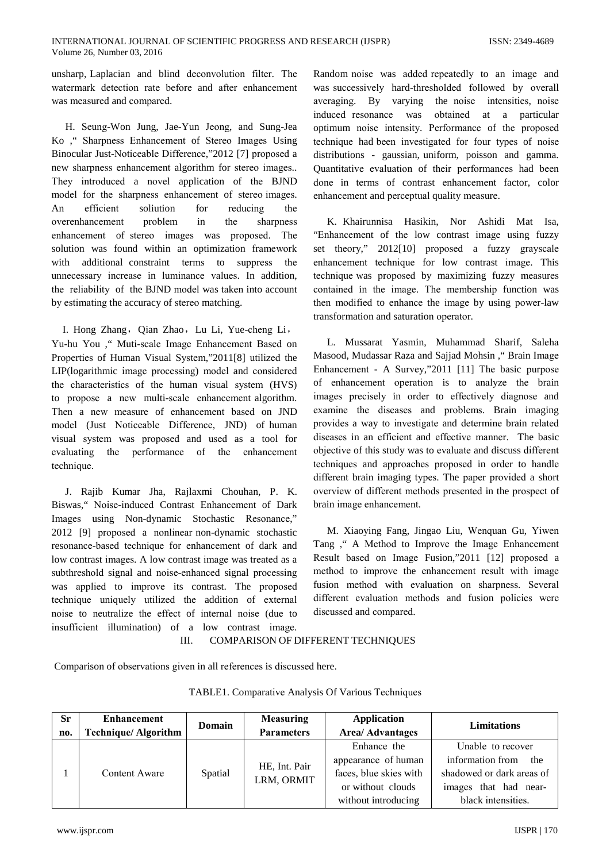unsharp, Laplacian and blind deconvolution filter. The watermark detection rate before and after enhancement was measured and compared.

H. Seung-Won Jung, Jae-Yun Jeong, and Sung-Jea Ko, "Sharpness Enhancement of Stereo Images Using Binocular Just-Noticeable Difference,"2012 [7] proposed a new sharpness enhancement algorithm for stereo images.. They introduced a novel application of the BJND model for the sharpness enhancement of stereo images. efficient soliution for reducing  $An$ the overenhancement problem in the sharpness enhancement of stereo images was proposed. The solution was found within an optimization framework with additional constraint terms to suppress the unnecessary increase in luminance values. In addition, the reliability of the BJND model was taken into account by estimating the accuracy of stereo matching.

I. Hong Zhang, Qian Zhao, Lu Li, Yue-cheng Li, Yu-hu You ," Muti-scale Image Enhancement Based on Properties of Human Visual System,"2011[8] utilized the LIP(logarithmic image processing) model and considered the characteristics of the human visual system (HVS) to propose a new multi-scale enhancement algorithm. Then a new measure of enhancement based on JND model (Just Noticeable Difference, JND) of human visual system was proposed and used as a tool for evaluating the performance of the enhancement technique.

J. Rajib Kumar Jha, Rajlaxmi Chouhan, P. K. Biswas," Noise-induced Contrast Enhancement of Dark Images using Non-dynamic Stochastic Resonance," 2012 [9] proposed a nonlinear non-dynamic stochastic resonance-based technique for enhancement of dark and low contrast images. A low contrast image was treated as a subthreshold signal and noise-enhanced signal processing was applied to improve its contrast. The proposed technique uniquely utilized the addition of external noise to neutralize the effect of internal noise (due to insufficient illumination) of a low contrast image.

Random noise was added repeatedly to an image and was successively hard-thresholded followed by overall averaging. By varying the noise intensities, noise induced resonance was obtained at a particular optimum noise intensity. Performance of the proposed technique had been investigated for four types of noise distributions - gaussian uniform, poisson and gamma. Quantitative evaluation of their performances had been done in terms of contrast enhancement factor, color enhancement and perceptual quality measure.

K. Khairunnisa Hasikin, Nor Ashidi Mat Isa, "Enhancement of the low contrast image using fuzzy set theory," 2012[10] proposed a fuzzy grayscale enhancement technique for low contrast image. This technique was proposed by maximizing fuzzy measures contained in the image. The membership function was then modified to enhance the image by using power-law transformation and saturation operator.

L. Mussarat Yasmin, Muhammad Sharif, Saleha Masood, Mudassar Raza and Sajjad Mohsin, "Brain Image Enhancement - A Survey,"2011 [11] The basic purpose of enhancement operation is to analyze the brain images precisely in order to effectively diagnose and examine the diseases and problems. Brain imaging provides a way to investigate and determine brain related diseases in an efficient and effective manner. The basic objective of this study was to evaluate and discuss different techniques and approaches proposed in order to handle different brain imaging types. The paper provided a short overview of different methods presented in the prospect of brain image enhancement.

M. Xiaoying Fang, Jingao Liu, Wenquan Gu, Yiwen Tang, " A Method to Improve the Image Enhancement Result based on Image Fusion,"2011 [12] proposed a method to improve the enhancement result with image fusion method with evaluation on sharpness. Several different evaluation methods and fusion policies were discussed and compared.

**COMPARISON OF DIFFERENT TECHNIQUES**  $III$ 

Comparison of observations given in all references is discussed here.

| <b>Sr</b><br>no. | <b>Enhancement</b><br><b>Technique/Algorithm</b> | Domain  | <b>Measuring</b><br><b>Parameters</b> | <b>Application</b><br><b>Area/ Advantages</b>                                                            | <b>Limitations</b>                                                                                                       |
|------------------|--------------------------------------------------|---------|---------------------------------------|----------------------------------------------------------------------------------------------------------|--------------------------------------------------------------------------------------------------------------------------|
|                  | Content Aware                                    | Spatial | HE, Int. Pair<br>LRM, ORMIT           | Enhance the<br>appearance of human<br>faces, blue skies with<br>or without clouds<br>without introducing | Unable to recover<br>information from<br>the<br>shadowed or dark areas of<br>images that had near-<br>black intensities. |

**TABLE1.** Comparative Analysis Of Various Techniques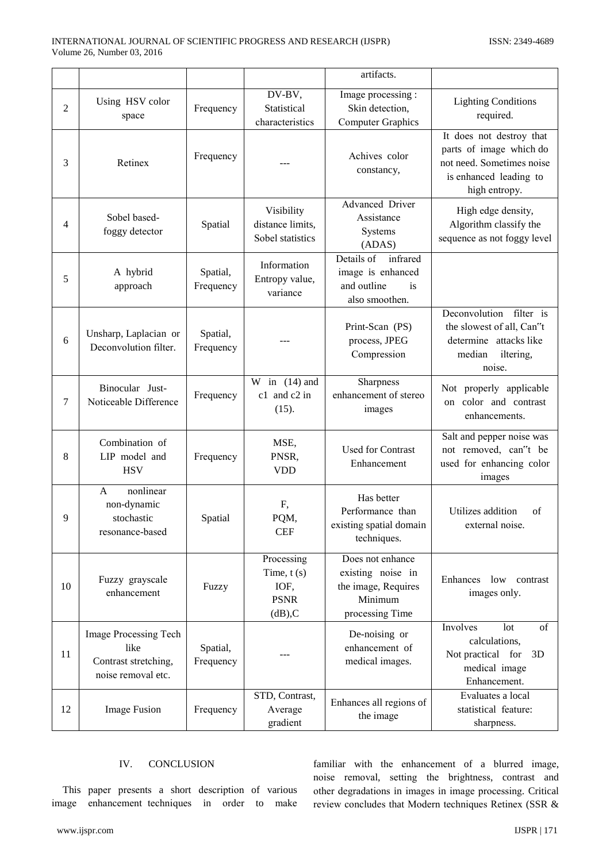|                |                                                                             |                       |                                                               | artifacts.                                                                                 |                                                                                                                             |
|----------------|-----------------------------------------------------------------------------|-----------------------|---------------------------------------------------------------|--------------------------------------------------------------------------------------------|-----------------------------------------------------------------------------------------------------------------------------|
| $\overline{2}$ | Using HSV color<br>space                                                    | Frequency             | DV-BV,<br>Statistical<br>characteristics                      | Image processing :<br>Skin detection,<br><b>Computer Graphics</b>                          | <b>Lighting Conditions</b><br>required.                                                                                     |
| 3              | Retinex                                                                     | Frequency             |                                                               | Achives color<br>constancy,                                                                | It does not destroy that<br>parts of image which do<br>not need. Sometimes noise<br>is enhanced leading to<br>high entropy. |
| 4              | Sobel based-<br>foggy detector                                              | Spatial               | Visibility<br>distance limits,<br>Sobel statistics            | Advanced Driver<br>Assistance<br>Systems<br>(ADAS)                                         | High edge density,<br>Algorithm classify the<br>sequence as not foggy level                                                 |
| 5              | A hybrid<br>approach                                                        | Spatial,<br>Frequency | Information<br>Entropy value,<br>variance                     | infrared<br>Details of<br>image is enhanced<br>and outline<br>is<br>also smoothen.         |                                                                                                                             |
| 6              | Unsharp, Laplacian or<br>Deconvolution filter.                              | Spatial,<br>Frequency |                                                               | Print-Scan (PS)<br>process, JPEG<br>Compression                                            | Deconvolution<br>filter is<br>the slowest of all, Can"t<br>determine attacks like<br>median<br>iltering,<br>noise.          |
| 7              | Binocular Just-<br>Noticeable Difference                                    | Frequency             | in $(14)$ and<br>W<br>c1 and c2 in<br>(15).                   | Sharpness<br>enhancement of stereo<br>images                                               | Not properly applicable<br>on color and contrast<br>enhancements.                                                           |
| 8              | Combination of<br>LIP model and<br><b>HSV</b>                               | Frequency             | MSE,<br>PNSR,<br><b>VDD</b>                                   | <b>Used for Contrast</b><br>Enhancement                                                    | Salt and pepper noise was<br>not removed, can"t be<br>used for enhancing color<br>images                                    |
| 9              | nonlinear<br>A<br>non-dynamic<br>stochastic<br>resonance-based              | Spatial               | F,<br>PQM,<br><b>CEF</b>                                      | Has better<br>Performance than<br>existing spatial domain<br>techniques.                   | Utilizes addition<br>of<br>external noise                                                                                   |
| 10             | Fuzzy grayscale<br>enhancement                                              | Fuzzy                 | Processing<br>Time, $t(s)$<br>IOF,<br><b>PSNR</b><br>$dB$ ),C | Does not enhance<br>existing noise in<br>the image, Requires<br>Minimum<br>processing Time | Enhances<br>low<br>contrast<br>images only.                                                                                 |
| 11             | Image Processing Tech<br>like<br>Contrast stretching,<br>noise removal etc. | Spatial,<br>Frequency |                                                               | De-noising or<br>enhancement of<br>medical images.                                         | Involves<br>lot<br>of<br>calculations,<br>Not practical for<br>3D<br>medical image<br>Enhancement.                          |
| 12             | Image Fusion                                                                | Frequency             | STD, Contrast,<br>Average<br>gradient                         | Enhances all regions of<br>the image                                                       | Evaluates a local<br>statistical feature:<br>sharpness.                                                                     |

### IV. CONCLUSION

This paper presents a short description of various image enhancement techniques in order to make